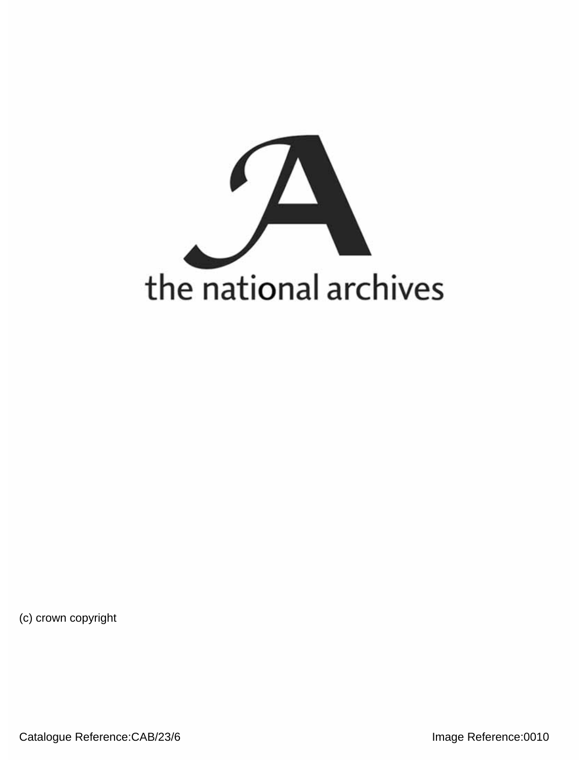

(c) crown copyright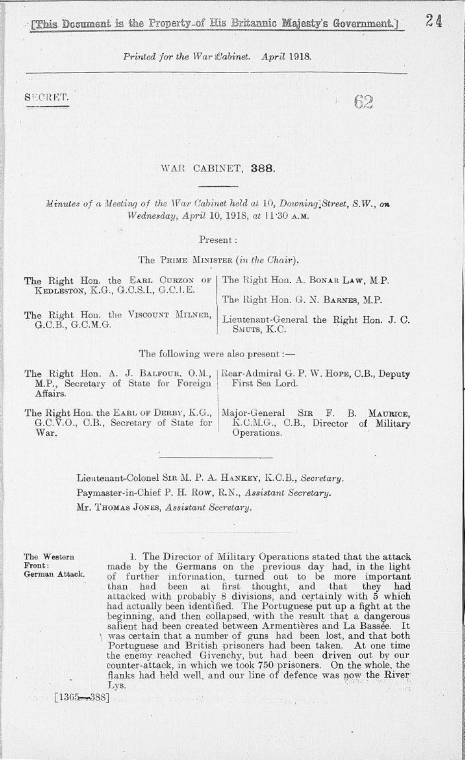*Printed for the War Cabinet. April* **1918.** 

SECRET.

## WAR CABINET, 388.

*Minutes of a Meeting of the War Cabinet held at* 10, *Doivning^Street, S.W., on Wednesday, April* 10, 1918, *at* 11-30 A.M.

Present :

The PRIME MINISTER *(in the Chair).* 

| The Right Hon. the EARL CURZON OF   The Right Hon. A. BONAR LAW, M.P.<br>KEDLESTON, K.G., G.C.S.I., G.C.I.E. |                                                                                            |  |  |
|--------------------------------------------------------------------------------------------------------------|--------------------------------------------------------------------------------------------|--|--|
|                                                                                                              | The Right Hon. G. N. BARNES, M.P.                                                          |  |  |
| G.C.B., G.C.M.G.                                                                                             | The Right Hon. the VISCOUNT MILNER, Lieutenant-General the Right Hon. J. C.<br>SMUTS, K.C. |  |  |

The following were also present :—

| The Right Hon. A. J. BALFOUR, O.M.,<br>M.P., Secretary of State for Foreign<br>Affairs. | Rear-Admiral G. P. W. Hope, C.B., Deputy<br>First Sea Lord. |  |  |  |
|-----------------------------------------------------------------------------------------|-------------------------------------------------------------|--|--|--|
| The Right Hon. the EARL OF DERBY, K.G.,                                                 | Major-General SIR F. B. MAURICE,                            |  |  |  |
| G.C.V.O., C.B., Secretary of State for                                                  | K.C.M.G., C.B., Director of Military                        |  |  |  |
| War.                                                                                    | Operations.                                                 |  |  |  |

Lieutenant-Colonel SIR M. P. A. HANKEY, K.C.B., Secretary. Paymaster-in-Chief P. H. Row, R.N., Assistant Secretary. Mr. THOMAS JONES, *Assistant Secretary.* 

The Western 1. The Director of Military Operations stated that the attack **Front:** made by the Germans on the previous day had, in the light German Attack. of further information, turned out to be more important than had been at first thought, and that they had attacked with probably 8 divisions, and certainly with **5** which had actually been identified. The Portuguese put up a fight at the beginning, and then collapsed, with the result that a dangerous salient had been created between Armentières and La Bassée. It was certain that a number of guns had been lost, and that both Portuguese and British prisoners had been taken. At one time the enemy reached Givenchy, but had been driven out by our counter-attack, in which we took 750 prisoners. On the whole, the flanks had held well, and our line of defence was now the River Lys.

中国 田川県 (355332)

[1365**-T**-3S8]

62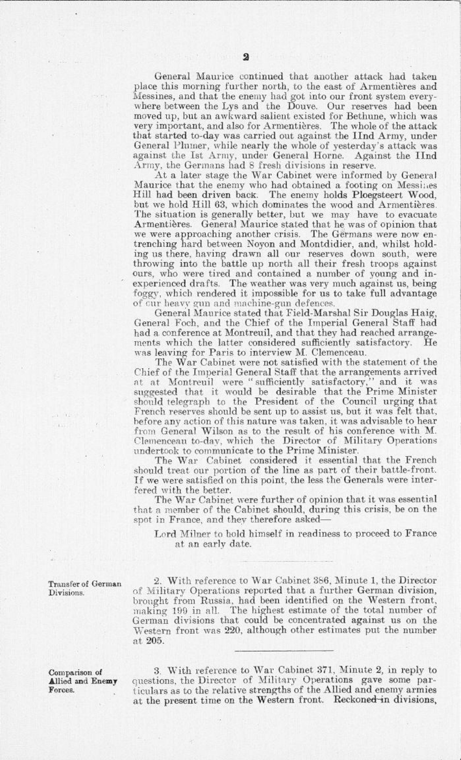General Maurice continued that another attack had taken place this morning further north, to the east of Armentières and Messines, and that the enemy had got into our front system everywhere between the Lys and the Douve. Our reserves had been moved up, but an awkward salient existed for Bethune, which was very important, and also for Armentieres. The whole of the attack that started to-day was carried out against the IInd Army, under General Plumer, while nearly the whole of yesterday's attack was against the Ist Army, under General Horne. Against the IInd Army, the Germans had 8 fresh divisions in reserve.

At a later stage the War Cabinet were informed by General Maurice that the enemy who had obtained a footing on Messines<br>Hill had been driven back. The enemy holds Ploegsteert Wood, Hill had been driven back. The enemy holds Ploegsteert Wood, but we hold Hill 63, which dominates the wood and Armentieres. The situation is generally better, but we may have to evacuate Armentières. General Maurice stated that he was of opinion that we were approaching another crisis. The Germans were now entrenching hard between Noyon and Montdidier, and, whilst holding us there, having drawn all our reserves down south, were throwing into the battle up north all their fresh troops against ours, who were tired and contained a number of young and inexperienced drafts. The weather was very much against us, being foggy, which rendered it impossible for us to take full advantage of cur heavy gun and machine-gun defences.

General Maurice stated that Field-Marshal Sir Douglas Haig, General Foch, and the Chief of the Imperial General Staff had had a conference at Montreuil, and that they had reached arrangements which the latter considered sufficiently satisfactory. He was leaving for Paris to interview M. Clemenceau.

The War Cabinet were not satisfied with the statement of the Chief of the Imperial General Staff that the arrangements arrived at at Montreuil were " sufficiently satisfactory," and it was suggested that it would be desirable that the Prime Minister should telegraph to the President of the Council urging that French reserves should be sent up to assist us, but it was felt that, before any action of this nature was taken, it was advisable to hear from General Wilson as to the result of his conference with M. Clemenceau to-day, which the Director of Military Operations undertook to communicate to the Prime Minister.

The War Cabinet considered it essential that the French should treat our portion of the line as part of their battle-front. If we were satisfied on this point, the less the' Generals were interfered with the better.

The War Cabinet were further of opinion that it was essential that a member of the Cabinet should, during this crisis, be on the spot in France, and they therefore asked—

Lord Milner to hold himself in readiness to proceed to France at an early date.

Transfer of German 2. With reference to War Cabinet 386, Minute 1, the Director Divisions. of Military Operations reported that a further German division, brought from Russia, had been identified on the Western front, making 199 in all. The highest estimate of the total number of German divisions that could be concentrated against us on the Western front was 220, although other estimates put the number at 205.

**Comparison of** 3. With reference to War Cabinet 371, Minute 2, in reply to **Allied and Enemy** questions, the Director of Military Operations gave some par-Forces. **ticulars as to the relative strengths of the Allied and enemy armies** at the present time on the Western front. Reckoned-in divisions,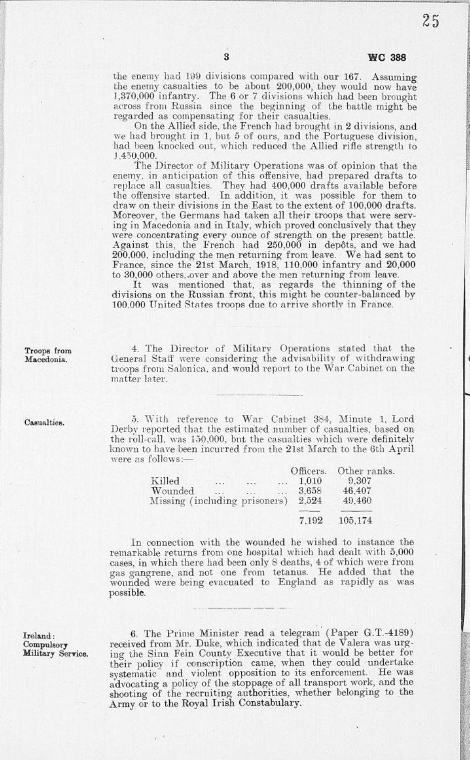25

the enemy had 199 divisions compared with our 167. Assuming the enemy casualties to be about 200,000, they would now have 1,370,000 infantry. The 6 or 7 divisions which had been brought across from Russia since the beginning of the battle might be regarded as compensating for their casualties.

On the Allied side, the French had brought in 2 divisions, and we had brought in 1, but 5 of ours, and the Portuguese division, had been knocked out, which reduced the Allied rifle strength to 1.4 50,000.

The Director of Military Operations was of opinion that the enemy, in anticipation of this offensive, had prepared drafts to replace all casualties. They had 400,000 drafts available before the offensive started. In addition, it was possible for them to draw on their divisions in the East to the extent of 100,000 drafts. Moreover, the Germans had taken all their troops that were serving in Macedonia and in Italy, which proved conclusively that they were concentrating every ounce of strength on the present battle. Against this, the French had 250,000 in depots, and we had 200,000. including the men returning from leave. We had sent to France, since the 21st March, 1918, 110,000 infantry and 20,000 to 30,000 others,,over and above the men returning from leave.

It was mentioned that, as regards the thinning of the divisions on the Russian front, this might be counter-balanced by 100.000 United States troops due to arrive shortly in France.

**Troops from Macedonia.**

 4. The Director of Military Operations stated that the General Staff were considering the advisability of withdrawing troops from Salonica, and would report to the War Cabinet on the matter later.

**Casualties.** 

5. With reference to War Cabinet 384, Minute 1, Lord Derby reported that the estimated number of casualties, based on the roll-call, was 150,000, but the casualties which were definitely known to have been incurred from the 21st March to the 6th April were as follows:—

|                               |          |          |              | Officers. | Other ranks. |  |
|-------------------------------|----------|----------|--------------|-----------|--------------|--|
| Killed                        | $\cdots$ | $\cdots$ | $\mathbb{Z}$ | 1.010     | 9.307        |  |
| Wounded                       | $-1$     |          | $\sim$       | 3.658     | 46,407       |  |
| Missing (including prisoners) |          |          | 2.524        | 49.460    |              |  |
|                               |          |          |              | 7.192     | 105,174      |  |
|                               |          |          |              |           |              |  |

In connection with the wounded he wished to instance the remarkable returns from one hospital which had dealt with 5,000 cases, in which there had been only 8 deaths, 4 of which were from gas gangrene, and not one from tetanus. He added that the results of research that the research of  $\frac{1}{2}$  research  $\frac{1}{2}$  research  $\frac{1}{2}$  research  $\frac{1}{2}$  research  $\frac{1}{2}$  research  $\frac{1}{2}$  research  $\frac{1}{2}$ wounded were being evacuated to England as rapidly as was possible.

**Ireland: Compulsory Military Service.** 

6. The Prime Minister read a telegram (Paper G.T.-41S9) received from Mr. Duke, which indicated that de Valera was urging the Sinn Fein County Executive that it would be better for their policy if conscription came, when they could undertake systematic and violent opposition to its enforcement. He was advocating a policy of the stoppage of all transport work, and the shooting of the recruiting authorities, whether belonging to the Army or to the Royal Irish Constabulary.